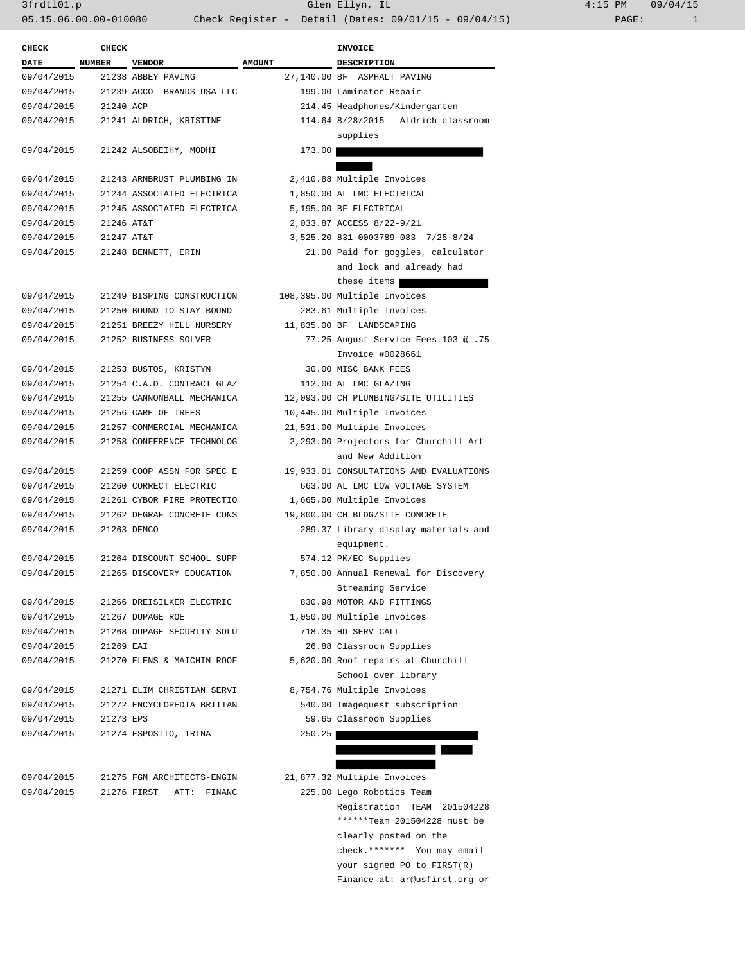3frdtl01.p Glen Ellyn, IL 4:15 PM 09/04/15 05.15.06.00.00-010080 Check Register - Detail (Dates: 09/01/15 - 09/04/15) PAGE: 1

 \*\*\*\*\*\*Team 201504228 must be clearly posted on the check.\*\*\*\*\*\*\* You may email your signed PO to FIRST(R) Finance at: ar@usfirst.org or

| <b>CHECK</b> | <b>CHECK</b>  |                            | INVOICE       |                                         |  |
|--------------|---------------|----------------------------|---------------|-----------------------------------------|--|
| <b>DATE</b>  | <b>NUMBER</b> | <b>VENDOR</b>              | <b>AMOUNT</b> | <b>DESCRIPTION</b>                      |  |
| 09/04/2015   |               | 21238 ABBEY PAVING         |               | 27,140.00 BF ASPHALT PAVING             |  |
| 09/04/2015   |               | 21239 ACCO BRANDS USA LLC  |               | 199.00 Laminator Repair                 |  |
| 09/04/2015   | 21240 ACP     |                            |               | 214.45 Headphones/Kindergarten          |  |
| 09/04/2015   |               | 21241 ALDRICH, KRISTINE    |               | 114.64 8/28/2015 Aldrich classroom      |  |
|              |               |                            |               | supplies                                |  |
| 09/04/2015   |               | 21242 ALSOBEIHY, MODHI     | 173.00        |                                         |  |
|              |               |                            |               |                                         |  |
| 09/04/2015   |               | 21243 ARMBRUST PLUMBING IN |               | 2,410.88 Multiple Invoices              |  |
| 09/04/2015   |               | 21244 ASSOCIATED ELECTRICA |               | 1,850.00 AL LMC ELECTRICAL              |  |
| 09/04/2015   |               | 21245 ASSOCIATED ELECTRICA |               | 5,195.00 BF ELECTRICAL                  |  |
| 09/04/2015   | 21246 AT&T    |                            |               | 2,033.87 ACCESS 8/22-9/21               |  |
| 09/04/2015   | 21247 AT&T    |                            |               | 3,525.20 831-0003789-083 7/25-8/24      |  |
| 09/04/2015   |               | 21248 BENNETT, ERIN        |               | 21.00 Paid for goggles, calculator      |  |
|              |               |                            |               | and lock and already had                |  |
|              |               |                            |               | these items                             |  |
| 09/04/2015   |               | 21249 BISPING CONSTRUCTION |               | 108,395.00 Multiple Invoices            |  |
| 09/04/2015   |               | 21250 BOUND TO STAY BOUND  |               | 283.61 Multiple Invoices                |  |
| 09/04/2015   |               | 21251 BREEZY HILL NURSERY  |               | 11,835.00 BF LANDSCAPING                |  |
| 09/04/2015   |               | 21252 BUSINESS SOLVER      |               | 77.25 August Service Fees 103 @ .75     |  |
|              |               |                            |               | Invoice #0028661                        |  |
|              |               |                            |               |                                         |  |
| 09/04/2015   |               | 21253 BUSTOS, KRISTYN      |               | 30.00 MISC BANK FEES                    |  |
| 09/04/2015   |               | 21254 C.A.D. CONTRACT GLAZ |               | 112.00 AL LMC GLAZING                   |  |
| 09/04/2015   |               | 21255 CANNONBALL MECHANICA |               | 12,093.00 CH PLUMBING/SITE UTILITIES    |  |
| 09/04/2015   |               | 21256 CARE OF TREES        |               | 10,445.00 Multiple Invoices             |  |
| 09/04/2015   |               | 21257 COMMERCIAL MECHANICA |               | 21,531.00 Multiple Invoices             |  |
| 09/04/2015   |               | 21258 CONFERENCE TECHNOLOG |               | 2,293.00 Projectors for Churchill Art   |  |
|              |               |                            |               | and New Addition                        |  |
| 09/04/2015   |               | 21259 COOP ASSN FOR SPEC E |               | 19,933.01 CONSULTATIONS AND EVALUATIONS |  |
| 09/04/2015   |               | 21260 CORRECT ELECTRIC     |               | 663.00 AL LMC LOW VOLTAGE SYSTEM        |  |
| 09/04/2015   |               | 21261 CYBOR FIRE PROTECTIO |               | 1,665.00 Multiple Invoices              |  |
| 09/04/2015   |               | 21262 DEGRAF CONCRETE CONS |               | 19,800.00 CH BLDG/SITE CONCRETE         |  |
| 09/04/2015   |               | 21263 DEMCO                |               | 289.37 Library display materials and    |  |
|              |               |                            |               | equipment.                              |  |
| 09/04/2015   |               | 21264 DISCOUNT SCHOOL SUPP |               | 574.12 PK/EC Supplies                   |  |
| 09/04/2015   |               | 21265 DISCOVERY EDUCATION  |               | 7,850.00 Annual Renewal for Discovery   |  |
|              |               |                            |               | Streaming Service                       |  |
| 09/04/2015   |               | 21266 DREISILKER ELECTRIC  |               | 830.98 MOTOR AND FITTINGS               |  |
| 09/04/2015   |               | 21267 DUPAGE ROE           |               | 1,050.00 Multiple Invoices              |  |
| 09/04/2015   |               | 21268 DUPAGE SECURITY SOLU |               | 718.35 HD SERV CALL                     |  |
| 09/04/2015   | 21269 EAI     |                            |               | 26.88 Classroom Supplies                |  |
| 09/04/2015   |               | 21270 ELENS & MAICHIN ROOF |               | 5,620.00 Roof repairs at Churchill      |  |
|              |               |                            |               | School over library                     |  |
| 09/04/2015   |               | 21271 ELIM CHRISTIAN SERVI |               | 8,754.76 Multiple Invoices              |  |
| 09/04/2015   |               | 21272 ENCYCLOPEDIA BRITTAN |               | 540.00 Imagequest subscription          |  |
| 09/04/2015   | 21273 EPS     |                            |               | 59.65 Classroom Supplies                |  |
| 09/04/2015   |               | 21274 ESPOSITO, TRINA      | 250.25        |                                         |  |
|              |               |                            |               |                                         |  |
|              |               |                            |               |                                         |  |
| 09/04/2015   |               | 21275 FGM ARCHITECTS-ENGIN |               | 21,877.32 Multiple Invoices             |  |
| 09/04/2015   |               | 21276 FIRST ATT: FINANC    |               | 225.00 Lego Robotics Team               |  |
|              |               |                            |               | Registration TEAM 201504228             |  |
|              |               |                            |               |                                         |  |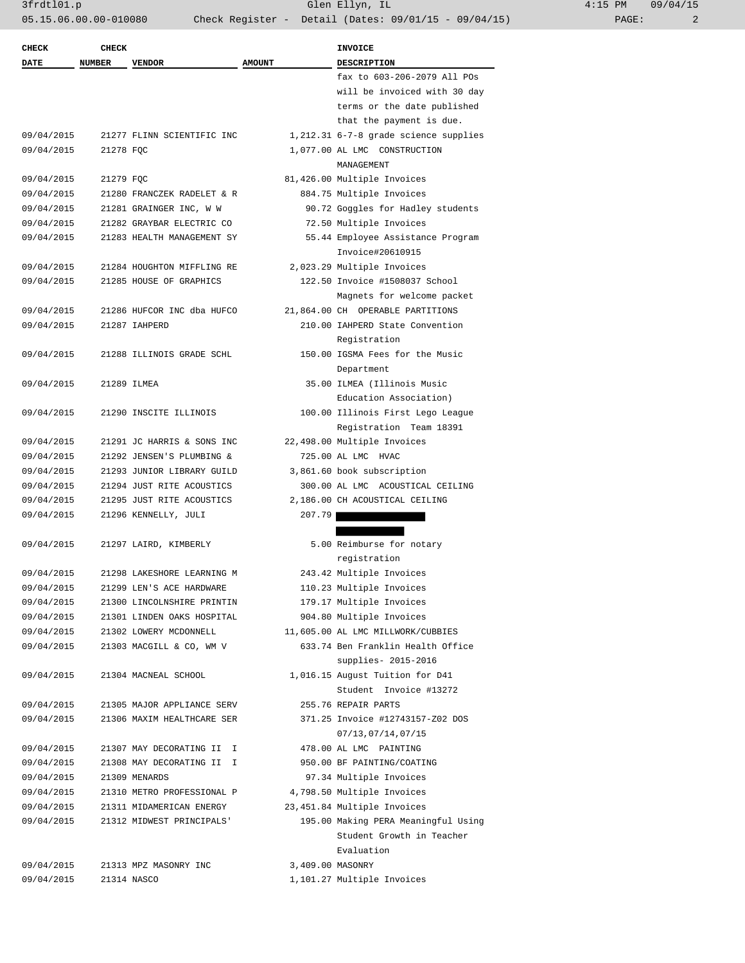| 4:15 PM |       | 09/04/15 |
|---------|-------|----------|
|         | PAGE: |          |

| <b>CHECK</b><br><b>DATE</b> | <b>CHECK</b> |                            | <b>AMOUNT</b>    | <b>INVOICE</b>                                    |
|-----------------------------|--------------|----------------------------|------------------|---------------------------------------------------|
|                             | NUMBER       | <b>VENDOR</b>              |                  | <b>DESCRIPTION</b><br>fax to 603-206-2079 All POs |
|                             |              |                            |                  | will be invoiced with 30 day                      |
|                             |              |                            |                  | terms or the date published                       |
|                             |              |                            |                  | that the payment is due.                          |
| 09/04/2015                  |              | 21277 FLINN SCIENTIFIC INC |                  | 1,212.31 6-7-8 grade science supplies             |
| 09/04/2015                  | 21278 FQC    |                            |                  | 1,077.00 AL LMC CONSTRUCTION                      |
|                             |              |                            |                  | MANAGEMENT                                        |
| 09/04/2015                  | 21279 FQC    |                            |                  | 81,426.00 Multiple Invoices                       |
| 09/04/2015                  |              | 21280 FRANCZEK RADELET & R |                  | 884.75 Multiple Invoices                          |
| 09/04/2015                  |              | 21281 GRAINGER INC, W W    |                  | 90.72 Goggles for Hadley students                 |
| 09/04/2015                  |              | 21282 GRAYBAR ELECTRIC CO  |                  | 72.50 Multiple Invoices                           |
| 09/04/2015                  |              | 21283 HEALTH MANAGEMENT SY |                  | 55.44 Employee Assistance Program                 |
|                             |              |                            |                  | Invoice#20610915                                  |
| 09/04/2015                  |              | 21284 HOUGHTON MIFFLING RE |                  | 2,023.29 Multiple Invoices                        |
| 09/04/2015                  |              | 21285 HOUSE OF GRAPHICS    |                  | 122.50 Invoice #1508037 School                    |
|                             |              |                            |                  | Magnets for welcome packet                        |
| 09/04/2015                  |              | 21286 HUFCOR INC dba HUFCO |                  | 21,864.00 CH OPERABLE PARTITIONS                  |
| 09/04/2015                  |              | 21287 IAHPERD              |                  | 210.00 IAHPERD State Convention                   |
|                             |              |                            |                  | Registration                                      |
| 09/04/2015                  |              | 21288 ILLINOIS GRADE SCHL  |                  | 150.00 IGSMA Fees for the Music                   |
|                             |              |                            |                  | Department                                        |
| 09/04/2015                  |              | 21289 ILMEA                |                  | 35.00 ILMEA (Illinois Music                       |
|                             |              |                            |                  | Education Association)                            |
| 09/04/2015                  |              | 21290 INSCITE ILLINOIS     |                  | 100.00 Illinois First Lego League                 |
|                             |              |                            |                  | Registration Team 18391                           |
| 09/04/2015                  |              | 21291 JC HARRIS & SONS INC |                  | 22,498.00 Multiple Invoices                       |
| 09/04/2015                  |              | 21292 JENSEN'S PLUMBING &  |                  | 725.00 AL LMC HVAC                                |
| 09/04/2015                  |              | 21293 JUNIOR LIBRARY GUILD |                  | 3,861.60 book subscription                        |
| 09/04/2015                  |              | 21294 JUST RITE ACOUSTICS  |                  | 300.00 AL LMC ACOUSTICAL CEILING                  |
| 09/04/2015                  |              | 21295 JUST RITE ACOUSTICS  |                  | 2,186.00 CH ACOUSTICAL CEILING                    |
| 09/04/2015                  |              | 21296 KENNELLY, JULI       | 207.79           |                                                   |
|                             |              |                            |                  |                                                   |
| 09/04/2015                  |              | 21297 LAIRD, KIMBERLY      |                  | 5.00 Reimburse for notary                         |
|                             |              |                            |                  | registration                                      |
| 09/04/2015                  |              | 21298 LAKESHORE LEARNING M |                  | 243.42 Multiple Invoices                          |
| 09/04/2015                  |              | 21299 LEN'S ACE HARDWARE   |                  | 110.23 Multiple Invoices                          |
| 09/04/2015                  |              | 21300 LINCOLNSHIRE PRINTIN |                  | 179.17 Multiple Invoices                          |
| 09/04/2015                  |              | 21301 LINDEN OAKS HOSPITAL |                  | 904.80 Multiple Invoices                          |
| 09/04/2015                  |              | 21302 LOWERY MCDONNELL     |                  | 11,605.00 AL LMC MILLWORK/CUBBIES                 |
| 09/04/2015                  |              | 21303 MACGILL & CO, WM V   |                  | 633.74 Ben Franklin Health Office                 |
|                             |              |                            |                  | supplies- 2015-2016                               |
| 09/04/2015                  |              | 21304 MACNEAL SCHOOL       |                  | 1,016.15 August Tuition for D41                   |
|                             |              |                            |                  | Student Invoice #13272                            |
| 09/04/2015                  |              | 21305 MAJOR APPLIANCE SERV |                  | 255.76 REPAIR PARTS                               |
| 09/04/2015                  |              | 21306 MAXIM HEALTHCARE SER |                  | 371.25 Invoice #12743157-Z02 DOS                  |
|                             |              |                            |                  | 07/13,07/14,07/15                                 |
| 09/04/2015                  |              | 21307 MAY DECORATING II I  |                  | 478.00 AL LMC PAINTING                            |
| 09/04/2015                  |              | 21308 MAY DECORATING II I  |                  | 950.00 BF PAINTING/COATING                        |
| 09/04/2015                  |              | 21309 MENARDS              |                  | 97.34 Multiple Invoices                           |
| 09/04/2015                  |              | 21310 METRO PROFESSIONAL P |                  | 4,798.50 Multiple Invoices                        |
| 09/04/2015                  |              | 21311 MIDAMERICAN ENERGY   |                  | 23,451.84 Multiple Invoices                       |
| 09/04/2015                  |              | 21312 MIDWEST PRINCIPALS'  |                  | 195.00 Making PERA Meaningful Using               |
|                             |              |                            |                  | Student Growth in Teacher                         |
|                             |              |                            |                  | Evaluation                                        |
| 09/04/2015                  |              | 21313 MPZ MASONRY INC      | 3,409.00 MASONRY |                                                   |
| 09/04/2015                  |              | 21314 NASCO                |                  | 1,101.27 Multiple Invoices                        |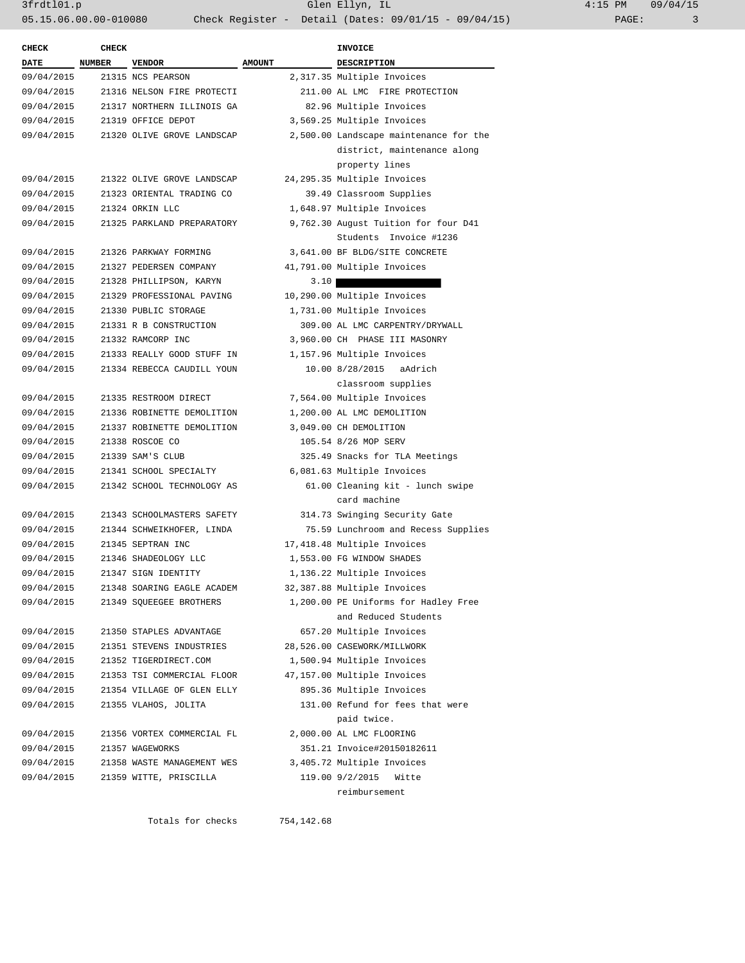| $4:15$ PM |       | 09/04/15 |
|-----------|-------|----------|
|           | PAGE: |          |

| <b>CHECK</b> | <b>CHECK</b> |                            |               | <b>INVOICE</b>                         |
|--------------|--------------|----------------------------|---------------|----------------------------------------|
| <b>DATE</b>  | NUMBER       | <b>VENDOR</b>              | <b>AMOUNT</b> | <b>DESCRIPTION</b>                     |
| 09/04/2015   |              | 21315 NCS PEARSON          |               | 2,317.35 Multiple Invoices             |
| 09/04/2015   |              | 21316 NELSON FIRE PROTECTI |               | 211.00 AL LMC FIRE PROTECTION          |
| 09/04/2015   |              | 21317 NORTHERN ILLINOIS GA |               | 82.96 Multiple Invoices                |
| 09/04/2015   |              | 21319 OFFICE DEPOT         |               | 3,569.25 Multiple Invoices             |
| 09/04/2015   |              | 21320 OLIVE GROVE LANDSCAP |               | 2,500.00 Landscape maintenance for the |
|              |              |                            |               | district, maintenance along            |
|              |              |                            |               | property lines                         |
| 09/04/2015   |              | 21322 OLIVE GROVE LANDSCAP |               | 24,295.35 Multiple Invoices            |
| 09/04/2015   |              | 21323 ORIENTAL TRADING CO  |               | 39.49 Classroom Supplies               |
| 09/04/2015   |              | 21324 ORKIN LLC            |               | 1,648.97 Multiple Invoices             |
| 09/04/2015   |              | 21325 PARKLAND PREPARATORY |               | 9,762.30 August Tuition for four D41   |
|              |              |                            |               | Students Invoice #1236                 |
| 09/04/2015   |              | 21326 PARKWAY FORMING      |               | 3,641.00 BF BLDG/SITE CONCRETE         |
| 09/04/2015   |              | 21327 PEDERSEN COMPANY     |               | 41,791.00 Multiple Invoices            |
| 09/04/2015   |              | 21328 PHILLIPSON, KARYN    | 3.10          |                                        |
| 09/04/2015   |              | 21329 PROFESSIONAL PAVING  |               | 10,290.00 Multiple Invoices            |
| 09/04/2015   |              | 21330 PUBLIC STORAGE       |               | 1,731.00 Multiple Invoices             |
| 09/04/2015   |              | 21331 R B CONSTRUCTION     |               | 309.00 AL LMC CARPENTRY/DRYWALL        |
| 09/04/2015   |              | 21332 RAMCORP INC          |               | 3,960.00 CH PHASE III MASONRY          |
| 09/04/2015   |              | 21333 REALLY GOOD STUFF IN |               | 1,157.96 Multiple Invoices             |
| 09/04/2015   |              | 21334 REBECCA CAUDILL YOUN |               | 10.00 8/28/2015<br>aAdrich             |
|              |              |                            |               | classroom supplies                     |
| 09/04/2015   |              | 21335 RESTROOM DIRECT      |               | 7,564.00 Multiple Invoices             |
| 09/04/2015   |              | 21336 ROBINETTE DEMOLITION |               | 1,200.00 AL LMC DEMOLITION             |
| 09/04/2015   |              | 21337 ROBINETTE DEMOLITION |               | 3,049.00 CH DEMOLITION                 |
| 09/04/2015   |              | 21338 ROSCOE CO            |               | 105.54 8/26 MOP SERV                   |
| 09/04/2015   |              | 21339 SAM'S CLUB           |               | 325.49 Snacks for TLA Meetings         |
| 09/04/2015   |              | 21341 SCHOOL SPECIALTY     |               | 6,081.63 Multiple Invoices             |
| 09/04/2015   |              | 21342 SCHOOL TECHNOLOGY AS |               | 61.00 Cleaning kit - lunch swipe       |
|              |              |                            |               | card machine                           |
| 09/04/2015   |              | 21343 SCHOOLMASTERS SAFETY |               | 314.73 Swinging Security Gate          |
| 09/04/2015   |              | 21344 SCHWEIKHOFER, LINDA  |               | 75.59 Lunchroom and Recess Supplies    |
| 09/04/2015   |              | 21345 SEPTRAN INC          |               | 17,418.48 Multiple Invoices            |
| 09/04/2015   |              | 21346 SHADEOLOGY LLC       |               | 1,553.00 FG WINDOW SHADES              |
| 09/04/2015   |              | 21347 SIGN IDENTITY        |               | 1,136.22 Multiple Invoices             |
| 09/04/2015   |              | 21348 SOARING EAGLE ACADEM |               | 32,387.88 Multiple Invoices            |
| 09/04/2015   |              | 21349 SQUEEGEE BROTHERS    |               | 1,200.00 PE Uniforms for Hadley Free   |
|              |              |                            |               | and Reduced Students                   |
| 09/04/2015   |              | 21350 STAPLES ADVANTAGE    |               | 657.20 Multiple Invoices               |
| 09/04/2015   |              | 21351 STEVENS INDUSTRIES   |               | 28,526.00 CASEWORK/MILLWORK            |
| 09/04/2015   |              | 21352 TIGERDIRECT.COM      |               | 1,500.94 Multiple Invoices             |
| 09/04/2015   |              | 21353 TSI COMMERCIAL FLOOR |               | 47,157.00 Multiple Invoices            |
| 09/04/2015   |              | 21354 VILLAGE OF GLEN ELLY |               | 895.36 Multiple Invoices               |
| 09/04/2015   |              | 21355 VLAHOS, JOLITA       |               | 131.00 Refund for fees that were       |
|              |              |                            |               | paid twice.                            |
| 09/04/2015   |              | 21356 VORTEX COMMERCIAL FL |               | 2,000.00 AL LMC FLOORING               |
| 09/04/2015   |              | 21357 WAGEWORKS            |               | 351.21 Invoice#20150182611             |
| 09/04/2015   |              | 21358 WASTE MANAGEMENT WES |               | 3,405.72 Multiple Invoices             |
| 09/04/2015   |              | 21359 WITTE, PRISCILLA     |               | 119.00 9/2/2015 Witte                  |
|              |              |                            |               | reimbursement                          |
|              |              |                            |               |                                        |

Totals for checks 754,142.68